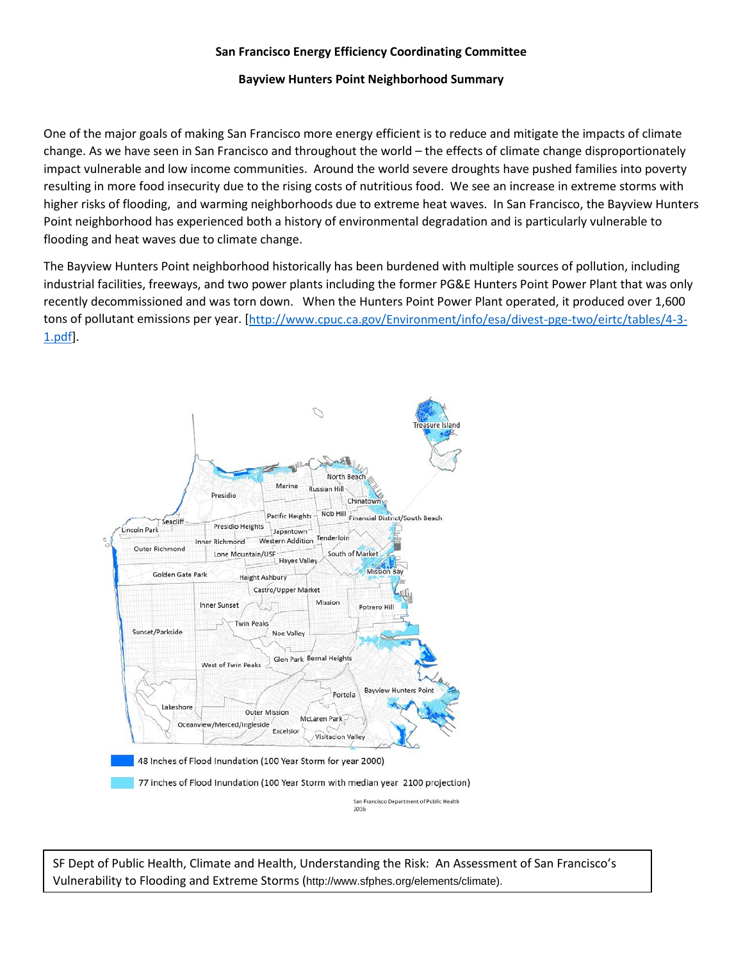## **San Francisco Energy Efficiency Coordinating Committee**

## **Bayview Hunters Point Neighborhood Summary**

One of the major goals of making San Francisco more energy efficient is to reduce and mitigate the impacts of climate change. As we have seen in San Francisco and throughout the world – the effects of climate change disproportionately impact vulnerable and low income communities. Around the world severe droughts have pushed families into poverty resulting in more food insecurity due to the rising costs of nutritious food. We see an increase in extreme storms with higher risks of flooding, and warming neighborhoods due to extreme heat waves. In San Francisco, the Bayview Hunters Point neighborhood has experienced both a history of environmental degradation and is particularly vulnerable to flooding and heat waves due to climate change.

The Bayview Hunters Point neighborhood historically has been burdened with multiple sources of pollution, including industrial facilities, freeways, and two power plants including the former PG&E Hunters Point Power Plant that was only recently decommissioned and was torn down. When the Hunters Point Power Plant operated, it produced over 1,600 tons of pollutant emissions per year. [\[http://www.cpuc.ca.gov/Environment/info/esa/divest-pge-two/eirtc/tables/4-3-](http://www.cpuc.ca.gov/Environment/info/esa/divest-pge-two/eirtc/tables/4-3-1.pdf) [1.pdf\]](http://www.cpuc.ca.gov/Environment/info/esa/divest-pge-two/eirtc/tables/4-3-1.pdf).



SF Dept of Public Health, Climate and Health, Understanding the Risk: An Assessment of San Francisco's Vulnerability to Flooding and Extreme Storms (http://www.sfphes.org/elements/climate).